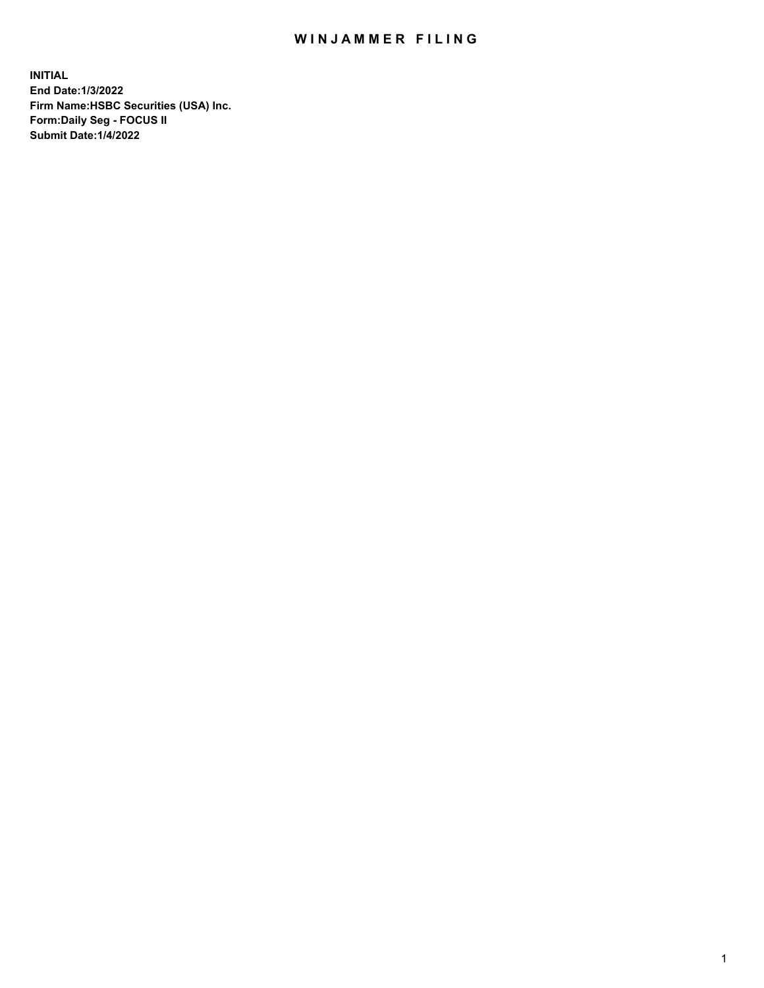## WIN JAMMER FILING

**INITIAL End Date:1/3/2022 Firm Name:HSBC Securities (USA) Inc. Form:Daily Seg - FOCUS II Submit Date:1/4/2022**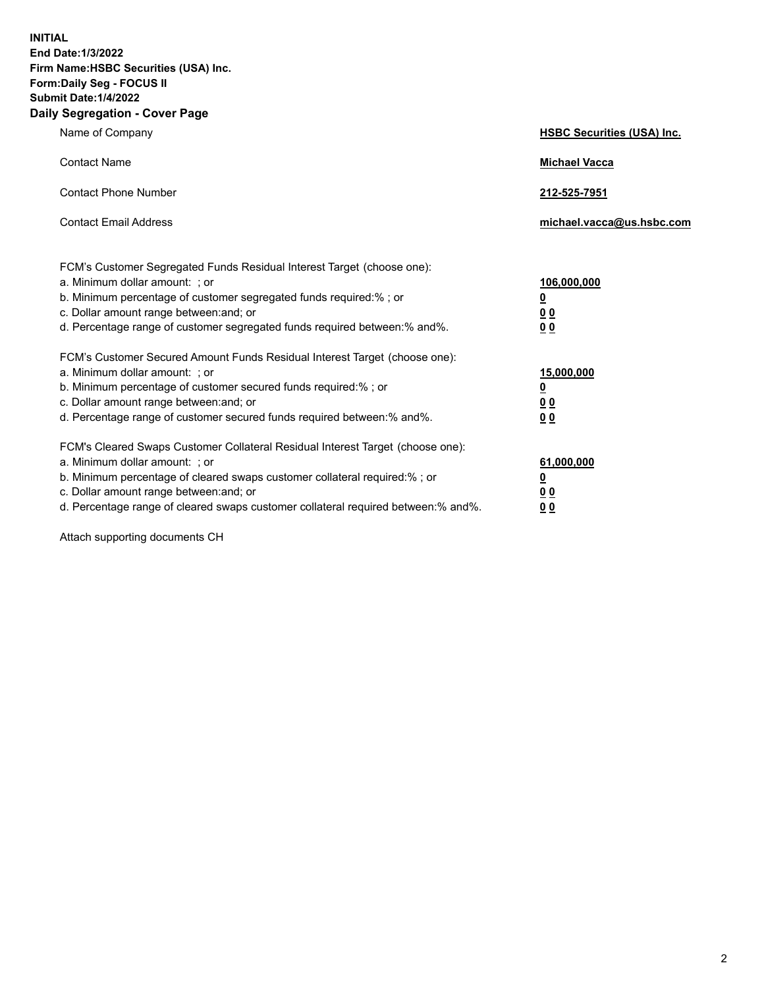**INITIAL End Date:1/3/2022 Firm Name:HSBC Securities (USA) Inc. Form:Daily Seg - FOCUS II Submit Date:1/4/2022 Daily Segregation - Cover Page**

| Name of Company                                                                                                                                                                                                                                                                                                                | <b>HSBC Securities (USA) Inc.</b>                               |
|--------------------------------------------------------------------------------------------------------------------------------------------------------------------------------------------------------------------------------------------------------------------------------------------------------------------------------|-----------------------------------------------------------------|
| <b>Contact Name</b>                                                                                                                                                                                                                                                                                                            | <b>Michael Vacca</b>                                            |
| <b>Contact Phone Number</b>                                                                                                                                                                                                                                                                                                    | 212-525-7951                                                    |
| <b>Contact Email Address</b>                                                                                                                                                                                                                                                                                                   | michael.vacca@us.hsbc.com                                       |
| FCM's Customer Segregated Funds Residual Interest Target (choose one):<br>a. Minimum dollar amount: ; or<br>b. Minimum percentage of customer segregated funds required:%; or<br>c. Dollar amount range between: and; or<br>d. Percentage range of customer segregated funds required between:% and%.                          | 106,000,000<br>$\underline{\mathbf{0}}$<br>0 <sub>0</sub><br>00 |
| FCM's Customer Secured Amount Funds Residual Interest Target (choose one):<br>a. Minimum dollar amount: ; or<br>b. Minimum percentage of customer secured funds required:% ; or<br>c. Dollar amount range between: and; or<br>d. Percentage range of customer secured funds required between:% and%.                           | 15,000,000<br><u>0</u><br>0 <sub>0</sub><br>0 <sub>0</sub>      |
| FCM's Cleared Swaps Customer Collateral Residual Interest Target (choose one):<br>a. Minimum dollar amount: ; or<br>b. Minimum percentage of cleared swaps customer collateral required:% ; or<br>c. Dollar amount range between: and; or<br>d. Percentage range of cleared swaps customer collateral required between:% and%. | 61,000,000<br><u>0</u><br><u>00</u><br>00                       |

Attach supporting documents CH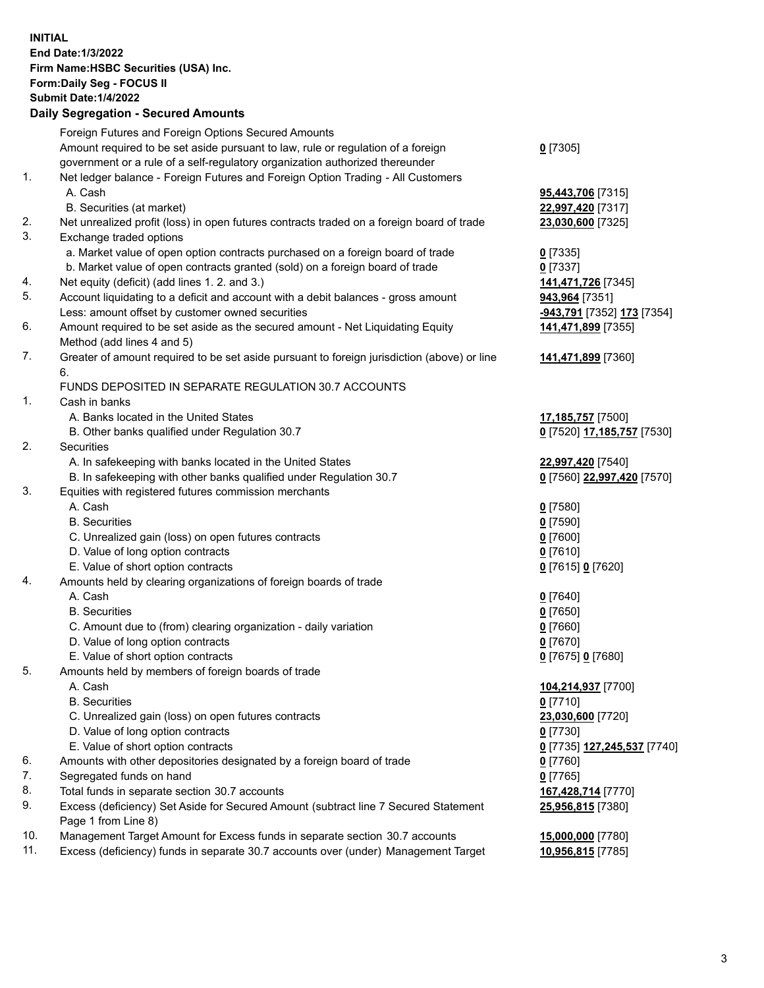**INITIAL End Date:1/3/2022 Firm Name:HSBC Securities (USA) Inc. Form:Daily Seg - FOCUS II Submit Date:1/4/2022 Daily Segregation - Secured Amounts** Foreign Futures and Foreign Options Secured Amounts Amount required to be set aside pursuant to law, rule or regulation of a foreign government or a rule of a self-regulatory organization authorized thereunder **0** [7305] 1. Net ledger balance - Foreign Futures and Foreign Option Trading - All Customers A. Cash **95,443,706** [7315] B. Securities (at market) **22,997,420** [7317] 2. Net unrealized profit (loss) in open futures contracts traded on a foreign board of trade **23,030,600** [7325] 3. Exchange traded options a. Market value of open option contracts purchased on a foreign board of trade **0** [7335] b. Market value of open contracts granted (sold) on a foreign board of trade **0** [7337] 4. Net equity (deficit) (add lines 1. 2. and 3.) **141,471,726** [7345] 5. Account liquidating to a deficit and account with a debit balances - gross amount **943,964** [7351] Less: amount offset by customer owned securities **-943,791** [7352] **173** [7354] 6. Amount required to be set aside as the secured amount - Net Liquidating Equity Method (add lines 4 and 5) **141,471,899** [7355] 7. Greater of amount required to be set aside pursuant to foreign jurisdiction (above) or line 6. **141,471,899** [7360] FUNDS DEPOSITED IN SEPARATE REGULATION 30.7 ACCOUNTS 1. Cash in banks A. Banks located in the United States **17,185,757** [7500] B. Other banks qualified under Regulation 30.7 **0** [7520] **17,185,757** [7530] 2. Securities A. In safekeeping with banks located in the United States **22,997,420** [7540] B. In safekeeping with other banks qualified under Regulation 30.7 **0** [7560] **22,997,420** [7570] 3. Equities with registered futures commission merchants A. Cash **0** [7580] B. Securities **0** [7590] C. Unrealized gain (loss) on open futures contracts **0** [7600] D. Value of long option contracts **0** [7610] E. Value of short option contracts **0** [7615] **0** [7620] 4. Amounts held by clearing organizations of foreign boards of trade A. Cash **0** [7640] B. Securities **0** [7650] C. Amount due to (from) clearing organization - daily variation **0** [7660] D. Value of long option contracts **0** [7670] E. Value of short option contracts **0** [7675] **0** [7680] 5. Amounts held by members of foreign boards of trade A. Cash **104,214,937** [7700] B. Securities **0** [7710] C. Unrealized gain (loss) on open futures contracts **23,030,600** [7720] D. Value of long option contracts **0** [7730] E. Value of short option contracts **0** [7735] **127,245,537** [7740] 6. Amounts with other depositories designated by a foreign board of trade **0** [7760] 7. Segregated funds on hand **0** [7765] 8. Total funds in separate section 30.7 accounts **167,428,714** [7770] 9. Excess (deficiency) Set Aside for Secured Amount (subtract line 7 Secured Statement Page 1 from Line 8) **25,956,815** [7380] 10. Management Target Amount for Excess funds in separate section 30.7 accounts **15,000,000** [7780] 11. Excess (deficiency) funds in separate 30.7 accounts over (under) Management Target **10,956,815** [7785]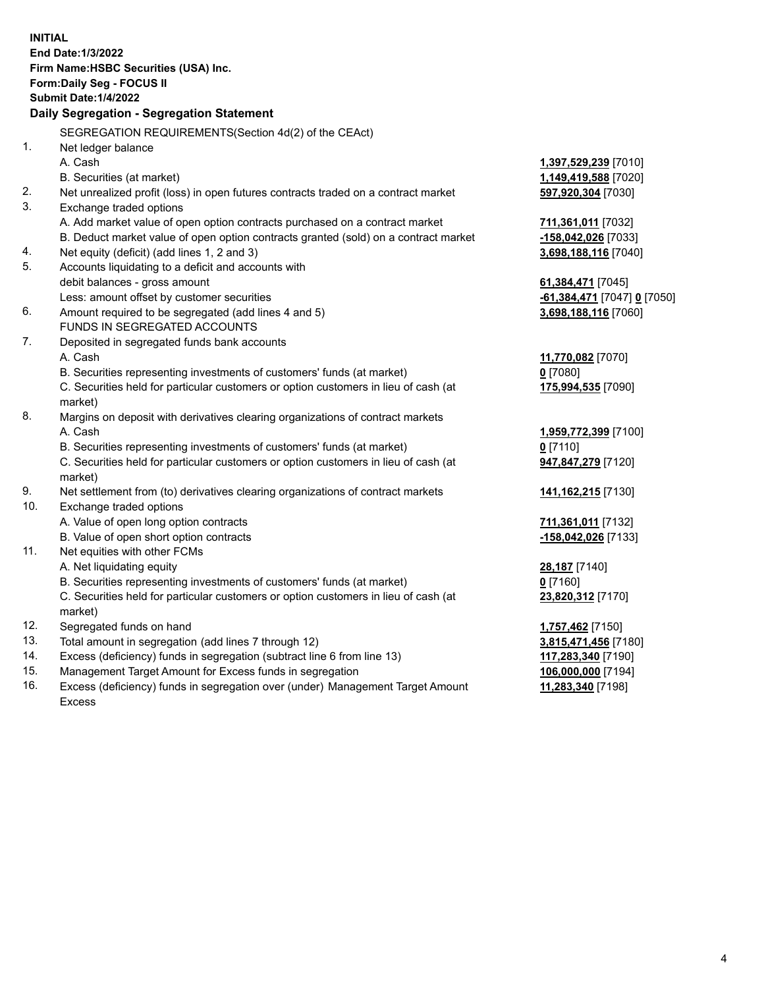| <b>INITIAL</b> | End Date: 1/3/2022<br>Firm Name: HSBC Securities (USA) Inc.                         |                                           |
|----------------|-------------------------------------------------------------------------------------|-------------------------------------------|
|                | <b>Form:Daily Seg - FOCUS II</b>                                                    |                                           |
|                | <b>Submit Date: 1/4/2022</b>                                                        |                                           |
|                | Daily Segregation - Segregation Statement                                           |                                           |
|                | SEGREGATION REQUIREMENTS(Section 4d(2) of the CEAct)                                |                                           |
| 1.             | Net ledger balance                                                                  |                                           |
|                | A. Cash                                                                             | 1,397,529,239 [7010]                      |
|                | B. Securities (at market)                                                           | <u>1,149,419,588</u> [7020]               |
| 2.             | Net unrealized profit (loss) in open futures contracts traded on a contract market  | 597,920,304 [7030]                        |
| 3.             | Exchange traded options                                                             |                                           |
|                | A. Add market value of open option contracts purchased on a contract market         | <u>711,361,011</u> [7032]                 |
|                | B. Deduct market value of open option contracts granted (sold) on a contract market | <u>-158,042,026</u> [7033]                |
| 4.             | Net equity (deficit) (add lines 1, 2 and 3)                                         | 3,698,188,116 [7040]                      |
| 5.             | Accounts liquidating to a deficit and accounts with                                 |                                           |
|                | debit balances - gross amount                                                       | 61,384,471 [7045]                         |
|                | Less: amount offset by customer securities                                          | <b>-61,384,471</b> [7047] <b>0</b> [7050] |
| 6.             | Amount required to be segregated (add lines 4 and 5)                                | 3,698,188,116 [7060]                      |
|                | FUNDS IN SEGREGATED ACCOUNTS                                                        |                                           |
| 7.             | Deposited in segregated funds bank accounts                                         |                                           |
|                | A. Cash                                                                             | 11,770,082 [7070]                         |
|                | B. Securities representing investments of customers' funds (at market)              | $0$ [7080]                                |
|                | C. Securities held for particular customers or option customers in lieu of cash (at | 175,994,535 [7090]                        |
|                | market)                                                                             |                                           |
| 8.             | Margins on deposit with derivatives clearing organizations of contract markets      |                                           |
|                | A. Cash                                                                             | 1,959,772,399 [7100]                      |
|                | B. Securities representing investments of customers' funds (at market)              | $0$ [7110]                                |
|                | C. Securities held for particular customers or option customers in lieu of cash (at | 947,847,279 [7120]                        |
|                | market)                                                                             |                                           |
| 9.<br>10.      | Net settlement from (to) derivatives clearing organizations of contract markets     | 141, 162, 215 [7130]                      |
|                | Exchange traded options<br>A. Value of open long option contracts                   |                                           |
|                | B. Value of open short option contracts                                             | 711,361,011 [7132]                        |
| 11.            | Net equities with other FCMs                                                        | -158,042,026 [7133]                       |
|                | A. Net liquidating equity                                                           | <u>28,187</u> [7140]                      |
|                | B. Securities representing investments of customers' funds (at market)              | $0$ [7160]                                |
|                | C. Securities held for particular customers or option customers in lieu of cash (at | 23,820,312 [7170]                         |
|                | market)                                                                             |                                           |
| 12.            | Segregated funds on hand                                                            | 1,757,462 [7150]                          |
| 13.            | Total amount in segregation (add lines 7 through 12)                                | 3,815,471,456 [7180]                      |
| 14.            | Excess (deficiency) funds in segregation (subtract line 6 from line 13)             | 117,283,340 [7190]                        |
| 15.            | Management Target Amount for Excess funds in segregation                            | 106,000,000 [7194]                        |

16. Excess (deficiency) funds in segregation over (under) Management Target Amount Excess

**11,283,340** [7198]